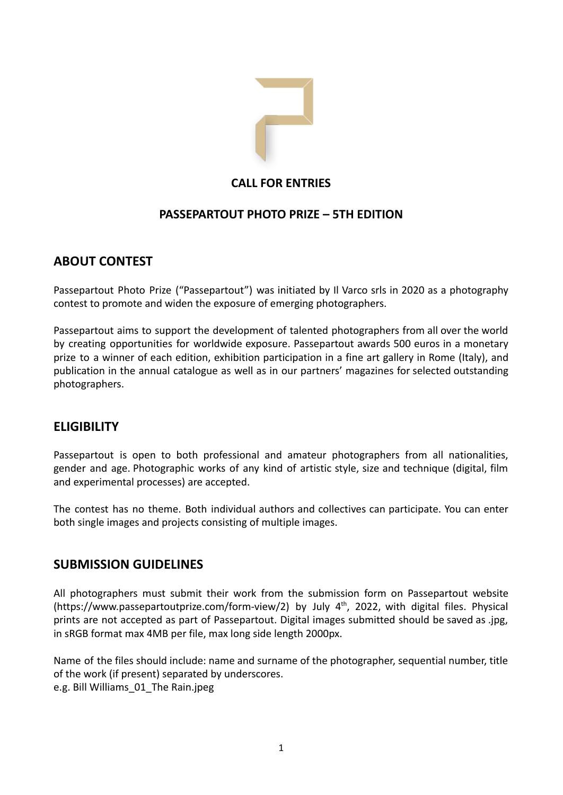

# **CALL FOR ENTRIES**

# **PASSEPARTOUT PHOTO PRIZE – 5TH EDITION**

# **ABOUT CONTEST**

Passepartout Photo Prize ("Passepartout") was initiated by Il Varco srls in 2020 as a photography contest to promote and widen the exposure of emerging photographers.

Passepartout aims to support the development of talented photographers from all over the world by creating opportunities for worldwide exposure. Passepartout awards 500 euros in a monetary prize to a winner of each edition, exhibition participation in a fine art gallery in Rome (Italy), and publication in the annual catalogue as well as in our partners' magazines for selected outstanding photographers.

# **ELIGIBILITY**

Passepartout is open to both professional and amateur photographers from all nationalities, gender and age. Photographic works of any kind of artistic style, size and technique (digital, film and experimental processes) are accepted.

The contest has no theme. Both individual authors and collectives can participate. You can enter both single images and projects consisting of multiple images.

# **SUBMISSION GUIDELINES**

All photographers must submit their work from the submission form on Passepartout website (https://www.passepartoutprize.com/form-view/2) by July 4<sup>th</sup>, 2022, with digital files. Physical prints are not accepted as part of Passepartout. Digital images submitted should be saved as .jpg, in sRGB format max 4MB per file, max long side length 2000px.

Name of the files should include: name and surname of the photographer, sequential number, title of the work (if present) separated by underscores. e.g. Bill Williams\_01\_The Rain.jpeg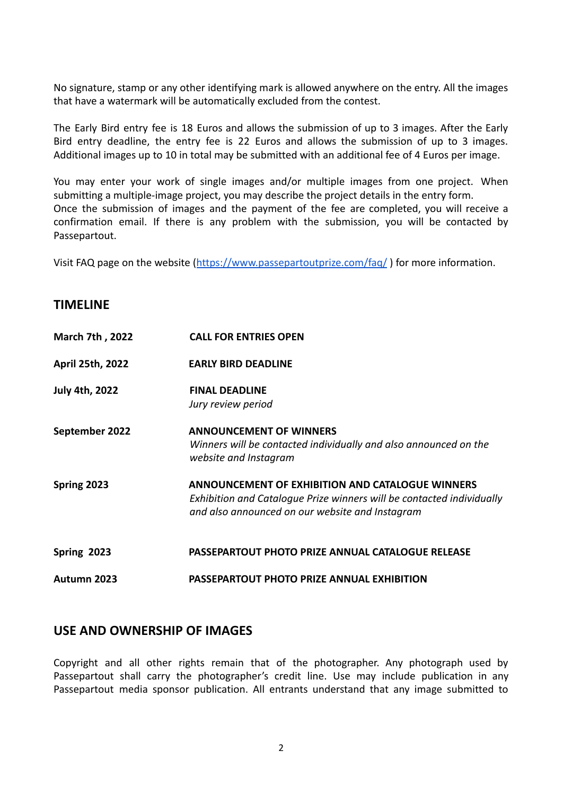No signature, stamp or any other identifying mark is allowed anywhere on the entry. All the images that have a watermark will be automatically excluded from the contest.

The Early Bird entry fee is 18 Euros and allows the submission of up to 3 images. After the Early Bird entry deadline, the entry fee is 22 Euros and allows the submission of up to 3 images. Additional images up to 10 in total may be submitted with an additional fee of 4 Euros per image.

You may enter your work of single images and/or multiple images from one project. When submitting a multiple-image project, you may describe the project details in the entry form. Once the submission of images and the payment of the fee are completed, you will receive a confirmation email. If there is any problem with the submission, you will be contacted by Passepartout.

Visit FAQ page on the website (<https://www.passepartoutprize.com/faq/> ) for more information.

## **TIMELINE**

| <b>March 7th, 2022</b> | <b>CALL FOR ENTRIES OPEN</b>                                                                                                                                                        |
|------------------------|-------------------------------------------------------------------------------------------------------------------------------------------------------------------------------------|
| April 25th, 2022       | <b>EARLY BIRD DEADLINE</b>                                                                                                                                                          |
| <b>July 4th, 2022</b>  | <b>FINAL DEADLINE</b><br>Jury review period                                                                                                                                         |
| September 2022         | <b>ANNOUNCEMENT OF WINNERS</b><br>Winners will be contacted individually and also announced on the<br>website and Instagram                                                         |
| Spring 2023            | <b>ANNOUNCEMENT OF EXHIBITION AND CATALOGUE WINNERS</b><br>Exhibition and Catalogue Prize winners will be contacted individually<br>and also announced on our website and Instagram |
| Spring 2023            | <b>PASSEPARTOUT PHOTO PRIZE ANNUAL CATALOGUE RELEASE</b>                                                                                                                            |
| Autumn 2023            | <b>PASSEPARTOUT PHOTO PRIZE ANNUAL EXHIBITION</b>                                                                                                                                   |

## **USE AND OWNERSHIP OF IMAGES**

Copyright and all other rights remain that of the photographer. Any photograph used by Passepartout shall carry the photographer's credit line. Use may include publication in any Passepartout media sponsor publication. All entrants understand that any image submitted to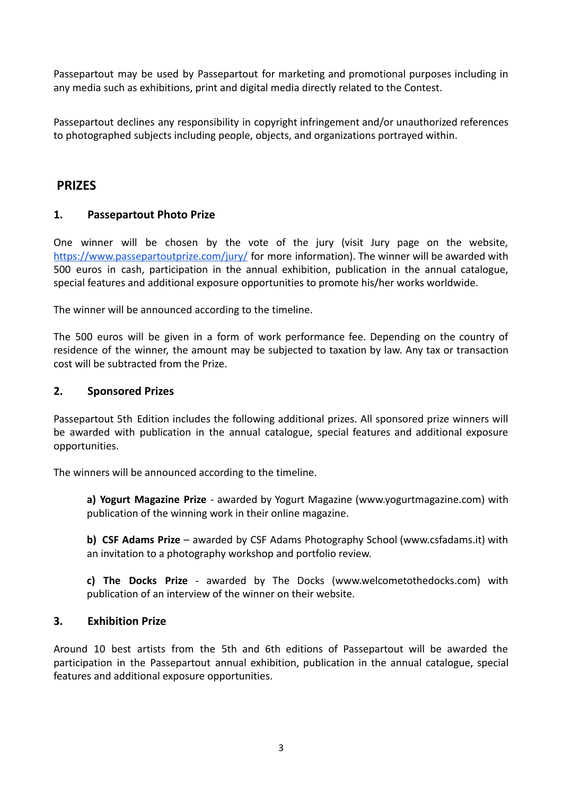Passepartout may be used by Passepartout for marketing and promotional purposes including in any media such as exhibitions, print and digital media directly related to the Contest.

Passepartout declines any responsibility in copyright infringement and/or unauthorized references to photographed subjects including people, objects, and organizations portrayed within.

## **PRIZES**

### **1. Passepartout Photo Prize**

One winner will be chosen by the vote of the jury (visit Jury page on the website, <https://www.passepartoutprize.com/jury/> for more information). The winner will be awarded with 500 euros in cash, participation in the annual exhibition, publication in the annual catalogue, special features and additional exposure opportunities to promote his/her works worldwide.

The winner will be announced according to the timeline.

The 500 euros will be given in a form of work performance fee. Depending on the country of residence of the winner, the amount may be subjected to taxation by law. Any tax or transaction cost will be subtracted from the Prize.

#### **2. Sponsored Prizes**

Passepartout 5th Edition includes the following additional prizes. All sponsored prize winners will be awarded with publication in the annual catalogue, special features and additional exposure opportunities.

The winners will be announced according to the timeline.

**a) Yogurt Magazine Prize** - awarded by Yogurt Magazine (www.yogurtmagazine.com) with publication of the winning work in their online magazine.

**b) CSF Adams Prize** – awarded by CSF Adams Photography School [\(www.csfadams.it](http://www.csfadams.it)) with an invitation to a photography workshop and portfolio review.

**c) The Docks Prize** - awarded by The Docks (www.welcometothedocks.com) with publication of an interview of the winner on their website.

### **3. Exhibition Prize**

Around 10 best artists from the 5th and 6th editions of Passepartout will be awarded the participation in the Passepartout annual exhibition, publication in the annual catalogue, special features and additional exposure opportunities.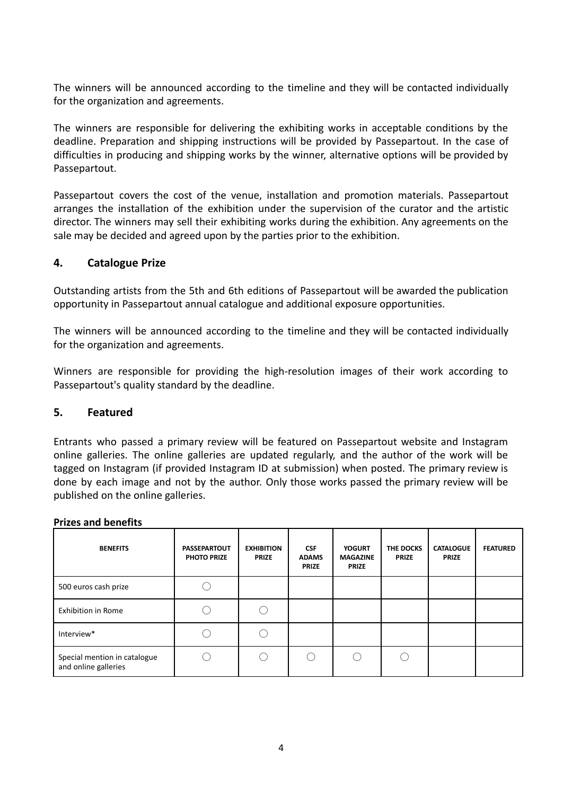The winners will be announced according to the timeline and they will be contacted individually for the organization and agreements.

The winners are responsible for delivering the exhibiting works in acceptable conditions by the deadline. Preparation and shipping instructions will be provided by Passepartout. In the case of difficulties in producing and shipping works by the winner, alternative options will be provided by Passepartout.

Passepartout covers the cost of the venue, installation and promotion materials. Passepartout arranges the installation of the exhibition under the supervision of the curator and the artistic director. The winners may sell their exhibiting works during the exhibition. Any agreements on the sale may be decided and agreed upon by the parties prior to the exhibition.

### **4. Catalogue Prize**

Outstanding artists from the 5th and 6th editions of Passepartout will be awarded the publication opportunity in Passepartout annual catalogue and additional exposure opportunities.

The winners will be announced according to the timeline and they will be contacted individually for the organization and agreements.

Winners are responsible for providing the high-resolution images of their work according to Passepartout's quality standard by the deadline.

### **5. Featured**

Entrants who passed a primary review will be featured on Passepartout website and Instagram online galleries. The online galleries are updated regularly, and the author of the work will be tagged on Instagram (if provided Instagram ID at submission) when posted. The primary review is done by each image and not by the author. Only those works passed the primary review will be published on the online galleries.

#### **Prizes and benefits**

| <b>BENEFITS</b>                                      | <b>PASSEPARTOUT</b><br><b>PHOTO PRIZE</b> | <b>EXHIBITION</b><br><b>PRIZE</b> | <b>CSF</b><br><b>ADAMS</b><br><b>PRIZE</b> | <b>YOGURT</b><br><b>MAGAZINE</b><br><b>PRIZE</b> | THE DOCKS<br><b>PRIZE</b> | <b>CATALOGUE</b><br><b>PRIZE</b> | <b>FEATURED</b> |
|------------------------------------------------------|-------------------------------------------|-----------------------------------|--------------------------------------------|--------------------------------------------------|---------------------------|----------------------------------|-----------------|
| 500 euros cash prize                                 |                                           |                                   |                                            |                                                  |                           |                                  |                 |
| <b>Exhibition in Rome</b>                            |                                           |                                   |                                            |                                                  |                           |                                  |                 |
| Interview*                                           |                                           |                                   |                                            |                                                  |                           |                                  |                 |
| Special mention in catalogue<br>and online galleries |                                           |                                   |                                            |                                                  |                           |                                  |                 |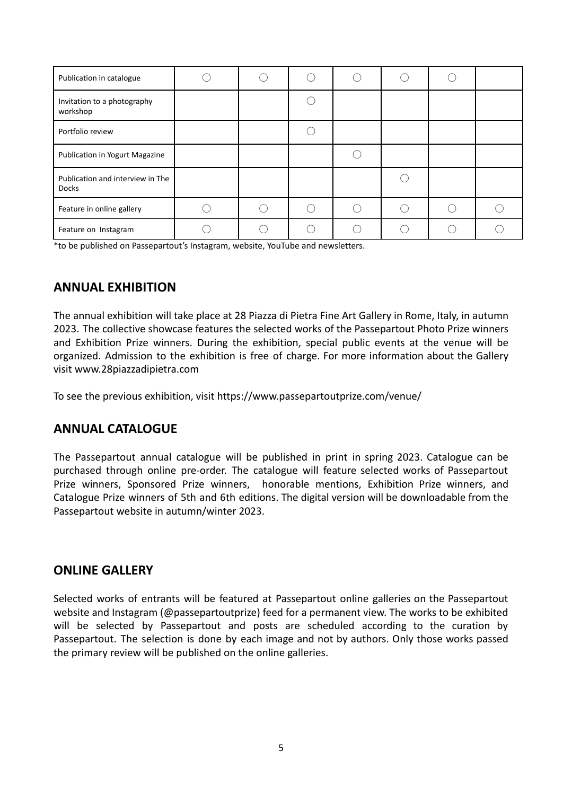| Publication in catalogue                         |  |  |  |  |
|--------------------------------------------------|--|--|--|--|
| Invitation to a photography<br>workshop          |  |  |  |  |
| Portfolio review                                 |  |  |  |  |
| Publication in Yogurt Magazine                   |  |  |  |  |
| Publication and interview in The<br><b>Docks</b> |  |  |  |  |
| Feature in online gallery                        |  |  |  |  |
| Feature on Instagram                             |  |  |  |  |

\*to be published on Passepartout's Instagram, website, YouTube and newsletters.

## **ANNUAL EXHIBITION**

The annual exhibition will take place at 28 Piazza di Pietra Fine Art Gallery in Rome, Italy, in autumn 2023. The collective showcase features the selected works of the Passepartout Photo Prize winners and Exhibition Prize winners. During the exhibition, special public events at the venue will be organized. Admission to the exhibition is free of charge. For more information about the Gallery visit [www.28piazzadipietra.com](http://www.28piazzadipietra.com)

To see the previous exhibition, visit https://www.passepartoutprize.com/venue/

## **ANNUAL CATALOGUE**

The Passepartout annual catalogue will be published in print in spring 2023. Catalogue can be purchased through online pre-order. The catalogue will feature selected works of Passepartout Prize winners, Sponsored Prize winners, honorable mentions, Exhibition Prize winners, and Catalogue Prize winners of 5th and 6th editions. The digital version will be downloadable from the Passepartout website in autumn/winter 2023.

### **ONLINE GALLERY**

Selected works of entrants will be featured at Passepartout online galleries on the Passepartout website and Instagram (@passepartoutprize) feed for a permanent view. The works to be exhibited will be selected by Passepartout and posts are scheduled according to the curation by Passepartout. The selection is done by each image and not by authors. Only those works passed the primary review will be published on the online galleries.